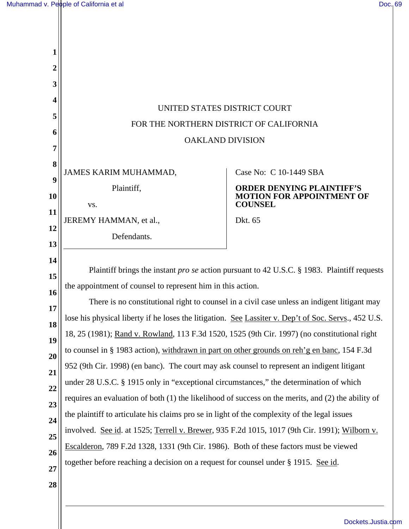| 1           |                                                                                                      |                                                                                             |  |
|-------------|------------------------------------------------------------------------------------------------------|---------------------------------------------------------------------------------------------|--|
| $\mathbf 2$ |                                                                                                      |                                                                                             |  |
| 3           |                                                                                                      |                                                                                             |  |
| 4           | UNITED STATES DISTRICT COURT                                                                         |                                                                                             |  |
| 5           | FOR THE NORTHERN DISTRICT OF CALIFORNIA                                                              |                                                                                             |  |
| 6           | <b>OAKLAND DIVISION</b>                                                                              |                                                                                             |  |
| 7           |                                                                                                      |                                                                                             |  |
| 8           | JAMES KARIM MUHAMMAD,                                                                                | Case No: C 10-1449 SBA                                                                      |  |
| 9           | Plaintiff,                                                                                           | <b>ORDER DENYING PLAINTIFF'S</b>                                                            |  |
| <b>10</b>   | VS.                                                                                                  | <b>MOTION FOR APPOINTMENT OF</b><br><b>COUNSEL</b>                                          |  |
| 11          | JEREMY HAMMAN, et al.,                                                                               | Dkt. 65                                                                                     |  |
| 12<br>13    | Defendants.                                                                                          |                                                                                             |  |
| 14          |                                                                                                      |                                                                                             |  |
| 15          | Plaintiff brings the instant <i>pro se</i> action pursuant to 42 U.S.C. § 1983. Plaintiff requests   |                                                                                             |  |
| 16          | the appointment of counsel to represent him in this action.                                          |                                                                                             |  |
| 17          |                                                                                                      | There is no constitutional right to counsel in a civil case unless an indigent litigant may |  |
| 18          | lose his physical liberty if he loses the litigation. See Lassiter v. Dep't of Soc. Servs., 452 U.S. |                                                                                             |  |
| 19          | 18, 25 (1981); Rand v. Rowland, 113 F.3d 1520, 1525 (9th Cir. 1997) (no constitutional right         |                                                                                             |  |
| 20          | to counsel in § 1983 action), withdrawn in part on other grounds on reh'g en banc, 154 F.3d          |                                                                                             |  |
| 21          | 952 (9th Cir. 1998) (en banc). The court may ask counsel to represent an indigent litigant           |                                                                                             |  |
| 22          | under 28 U.S.C. § 1915 only in "exceptional circumstances," the determination of which               |                                                                                             |  |
| 23          | requires an evaluation of both (1) the likelihood of success on the merits, and (2) the ability of   |                                                                                             |  |
| 24          | the plaintiff to articulate his claims pro se in light of the complexity of the legal issues         |                                                                                             |  |
| 25          | involved. See id. at 1525; Terrell v. Brewer, 935 F.2d 1015, 1017 (9th Cir. 1991); Wilborn v.        |                                                                                             |  |
| 26          | Escalderon, 789 F.2d 1328, 1331 (9th Cir. 1986). Both of these factors must be viewed                |                                                                                             |  |
| 27          | together before reaching a decision on a request for counsel under § 1915. See id.                   |                                                                                             |  |
| 28          |                                                                                                      |                                                                                             |  |
|             |                                                                                                      |                                                                                             |  |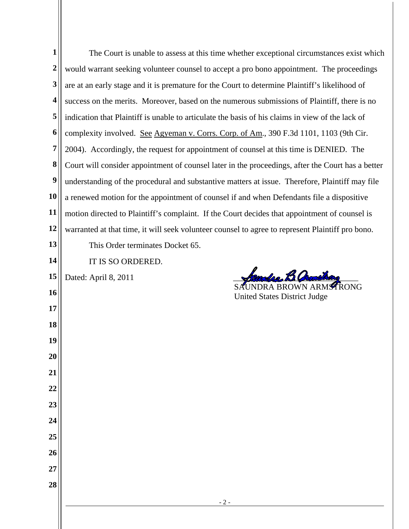| $\mathbf{1}$ | The Court is unable to assess at this time whether exceptional circumstances exist which          |  |  |
|--------------|---------------------------------------------------------------------------------------------------|--|--|
| $\mathbf{2}$ | would warrant seeking volunteer counsel to accept a pro bono appointment. The proceedings         |  |  |
| 3            | are at an early stage and it is premature for the Court to determine Plaintiff's likelihood of    |  |  |
| 4            | success on the merits. Moreover, based on the numerous submissions of Plaintiff, there is no      |  |  |
| 5            | indication that Plaintiff is unable to articulate the basis of his claims in view of the lack of  |  |  |
| 6            | complexity involved. See Agyeman v. Corrs. Corp. of Am., 390 F.3d 1101, 1103 (9th Cir.            |  |  |
| 7            | 2004). Accordingly, the request for appointment of counsel at this time is DENIED. The            |  |  |
| 8            | Court will consider appointment of counsel later in the proceedings, after the Court has a better |  |  |
| 9            | understanding of the procedural and substantive matters at issue. Therefore, Plaintiff may file   |  |  |
| 10           | a renewed motion for the appointment of counsel if and when Defendants file a dispositive         |  |  |
| 11           | motion directed to Plaintiff's complaint. If the Court decides that appointment of counsel is     |  |  |
| 12           | warranted at that time, it will seek volunteer counsel to agree to represent Plaintiff pro bono.  |  |  |
| 13           | This Order terminates Docket 65.                                                                  |  |  |
| 14           | IT IS SO ORDERED.                                                                                 |  |  |
| 15           | Mandera B.Org<br>Dated: April 8, 2011                                                             |  |  |
| 16           | <b>United States District Judge</b>                                                               |  |  |
| 17           |                                                                                                   |  |  |
| 18           |                                                                                                   |  |  |
| 19           |                                                                                                   |  |  |
| 20           |                                                                                                   |  |  |
| 21           |                                                                                                   |  |  |
| 22           |                                                                                                   |  |  |
| 23           |                                                                                                   |  |  |
| 24           |                                                                                                   |  |  |
| 25           |                                                                                                   |  |  |
| 26           |                                                                                                   |  |  |
| 27           |                                                                                                   |  |  |
| 28           |                                                                                                   |  |  |
|              | $-2-$                                                                                             |  |  |
|              |                                                                                                   |  |  |